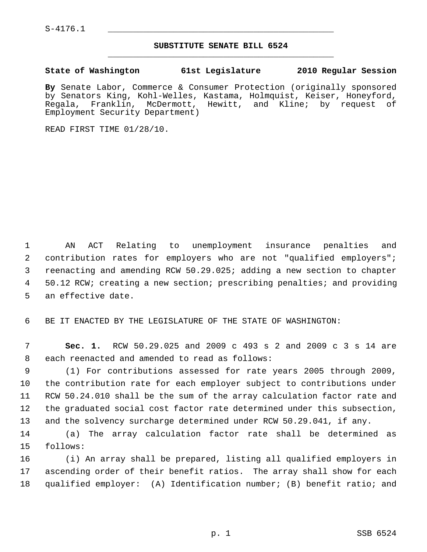$S-4176.1$ 

## **SUBSTITUTE SENATE BILL 6524** \_\_\_\_\_\_\_\_\_\_\_\_\_\_\_\_\_\_\_\_\_\_\_\_\_\_\_\_\_\_\_\_\_\_\_\_\_\_\_\_\_\_\_\_\_

## **State of Washington 61st Legislature 2010 Regular Session**

**By** Senate Labor, Commerce & Consumer Protection (originally sponsored by Senators King, Kohl-Welles, Kastama, Holmquist, Keiser, Honeyford, Regala, Franklin, McDermott, Hewitt, and Kline; by request of Employment Security Department)

READ FIRST TIME 01/28/10.

 1 AN ACT Relating to unemployment insurance penalties and 2 contribution rates for employers who are not "qualified employers"; 3 reenacting and amending RCW 50.29.025; adding a new section to chapter 4 50.12 RCW; creating a new section; prescribing penalties; and providing 5 an effective date.

6 BE IT ENACTED BY THE LEGISLATURE OF THE STATE OF WASHINGTON:

 7 **Sec. 1.** RCW 50.29.025 and 2009 c 493 s 2 and 2009 c 3 s 14 are 8 each reenacted and amended to read as follows:

 9 (1) For contributions assessed for rate years 2005 through 2009, 10 the contribution rate for each employer subject to contributions under 11 RCW 50.24.010 shall be the sum of the array calculation factor rate and 12 the graduated social cost factor rate determined under this subsection, 13 and the solvency surcharge determined under RCW 50.29.041, if any.

14 (a) The array calculation factor rate shall be determined as 15 follows:

16 (i) An array shall be prepared, listing all qualified employers in 17 ascending order of their benefit ratios. The array shall show for each 18 qualified employer: (A) Identification number; (B) benefit ratio; and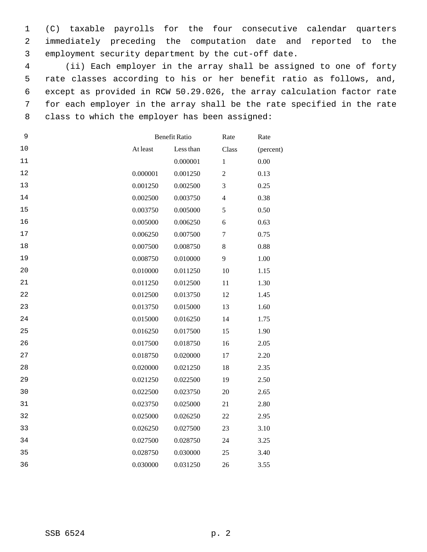1 (C) taxable payrolls for the four consecutive calendar quarters 2 immediately preceding the computation date and reported to the 3 employment security department by the cut-off date.

 4 (ii) Each employer in the array shall be assigned to one of forty 5 rate classes according to his or her benefit ratio as follows, and, 6 except as provided in RCW 50.29.026, the array calculation factor rate 7 for each employer in the array shall be the rate specified in the rate 8 class to which the employer has been assigned:

| 9  |          | <b>Benefit Ratio</b> |                  | Rate      |
|----|----------|----------------------|------------------|-----------|
| 10 | At least | Less than            | Class            | (percent) |
| 11 |          | 0.000001             | $\mathbf{1}$     | 0.00      |
| 12 | 0.000001 | 0.001250             | $\overline{2}$   | 0.13      |
| 13 | 0.001250 | 0.002500             | 3                | 0.25      |
| 14 | 0.002500 | 0.003750             | $\overline{4}$   | 0.38      |
| 15 | 0.003750 | 0.005000             | 5                | 0.50      |
| 16 | 0.005000 | 0.006250             | 6                | 0.63      |
| 17 | 0.006250 | 0.007500             | $\boldsymbol{7}$ | 0.75      |
| 18 | 0.007500 | 0.008750             | $8\,$            | 0.88      |
| 19 | 0.008750 | 0.010000             | 9                | 1.00      |
| 20 | 0.010000 | 0.011250             | 10               | 1.15      |
| 21 | 0.011250 | 0.012500             | 11               | 1.30      |
| 22 | 0.012500 | 0.013750             | 12               | 1.45      |
| 23 | 0.013750 | 0.015000             | 13               | 1.60      |
| 24 | 0.015000 | 0.016250             | 14               | 1.75      |
| 25 | 0.016250 | 0.017500             | 15               | 1.90      |
| 26 | 0.017500 | 0.018750             | 16               | 2.05      |
| 27 | 0.018750 | 0.020000             | 17               | 2.20      |
| 28 | 0.020000 | 0.021250             | 18               | 2.35      |
| 29 | 0.021250 | 0.022500             | 19               | 2.50      |
| 30 | 0.022500 | 0.023750             | 20               | 2.65      |
| 31 | 0.023750 | 0.025000             | 21               | 2.80      |
| 32 | 0.025000 | 0.026250             | 22               | 2.95      |
| 33 | 0.026250 | 0.027500             | 23               | 3.10      |
| 34 | 0.027500 | 0.028750             | 24               | 3.25      |
| 35 | 0.028750 | 0.030000             | 25               | 3.40      |
| 36 | 0.030000 | 0.031250             | 26               | 3.55      |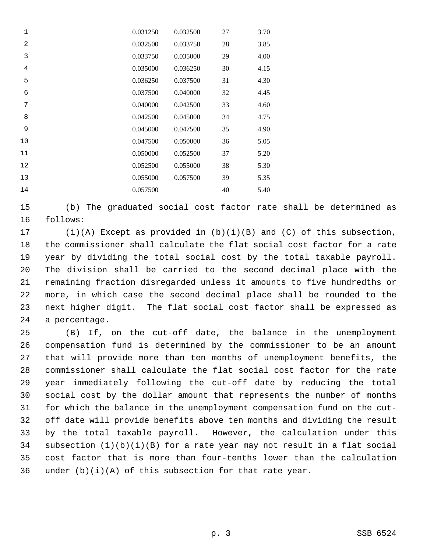| 1              | 0.031250 | 0.032500 | 27 | 3.70 |
|----------------|----------|----------|----|------|
| $\overline{2}$ | 0.032500 | 0.033750 | 28 | 3.85 |
| 3              | 0.033750 | 0.035000 | 29 | 4.00 |
| $\overline{4}$ | 0.035000 | 0.036250 | 30 | 4.15 |
| 5              | 0.036250 | 0.037500 | 31 | 4.30 |
| 6              | 0.037500 | 0.040000 | 32 | 4.45 |
| 7              | 0.040000 | 0.042500 | 33 | 4.60 |
| 8              | 0.042500 | 0.045000 | 34 | 4.75 |
| 9              | 0.045000 | 0.047500 | 35 | 4.90 |
| 10             | 0.047500 | 0.050000 | 36 | 5.05 |
| 11             | 0.050000 | 0.052500 | 37 | 5.20 |
| 12             | 0.052500 | 0.055000 | 38 | 5.30 |
| 13             | 0.055000 | 0.057500 | 39 | 5.35 |
| 14             | 0.057500 |          | 40 | 5.40 |

15 (b) The graduated social cost factor rate shall be determined as 16 follows:

17 (i)(A) Except as provided in (b)(i)(B) and (C) of this subsection, 18 the commissioner shall calculate the flat social cost factor for a rate 19 year by dividing the total social cost by the total taxable payroll. 20 The division shall be carried to the second decimal place with the 21 remaining fraction disregarded unless it amounts to five hundredths or 22 more, in which case the second decimal place shall be rounded to the 23 next higher digit. The flat social cost factor shall be expressed as 24 a percentage.

25 (B) If, on the cut-off date, the balance in the unemployment 26 compensation fund is determined by the commissioner to be an amount 27 that will provide more than ten months of unemployment benefits, the 28 commissioner shall calculate the flat social cost factor for the rate 29 year immediately following the cut-off date by reducing the total 30 social cost by the dollar amount that represents the number of months 31 for which the balance in the unemployment compensation fund on the cut-32 off date will provide benefits above ten months and dividing the result 33 by the total taxable payroll. However, the calculation under this 34 subsection (1)(b)(i)(B) for a rate year may not result in a flat social 35 cost factor that is more than four-tenths lower than the calculation 36 under  $(b)(i)(A)$  of this subsection for that rate year.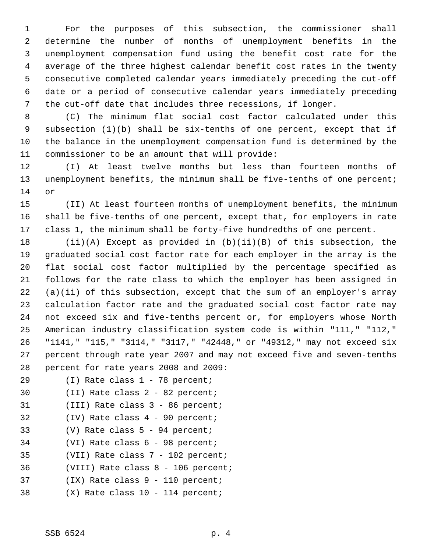1 For the purposes of this subsection, the commissioner shall 2 determine the number of months of unemployment benefits in the 3 unemployment compensation fund using the benefit cost rate for the 4 average of the three highest calendar benefit cost rates in the twenty 5 consecutive completed calendar years immediately preceding the cut-off 6 date or a period of consecutive calendar years immediately preceding 7 the cut-off date that includes three recessions, if longer.

 8 (C) The minimum flat social cost factor calculated under this 9 subsection (1)(b) shall be six-tenths of one percent, except that if 10 the balance in the unemployment compensation fund is determined by the 11 commissioner to be an amount that will provide:

12 (I) At least twelve months but less than fourteen months of 13 unemployment benefits, the minimum shall be five-tenths of one percent; 14 or

15 (II) At least fourteen months of unemployment benefits, the minimum 16 shall be five-tenths of one percent, except that, for employers in rate 17 class 1, the minimum shall be forty-five hundredths of one percent.

18 (ii)(A) Except as provided in (b)(ii)(B) of this subsection, the 19 graduated social cost factor rate for each employer in the array is the 20 flat social cost factor multiplied by the percentage specified as 21 follows for the rate class to which the employer has been assigned in 22 (a)(ii) of this subsection, except that the sum of an employer's array 23 calculation factor rate and the graduated social cost factor rate may 24 not exceed six and five-tenths percent or, for employers whose North 25 American industry classification system code is within "111," "112," 26 "1141," "115," "3114," "3117," "42448," or "49312," may not exceed six 27 percent through rate year 2007 and may not exceed five and seven-tenths 28 percent for rate years 2008 and 2009:

- 29 (I) Rate class 1 78 percent;
- 30 (II) Rate class 2 82 percent;
- 31 (III) Rate class 3 86 percent;
- 32 (IV) Rate class 4 90 percent;
- 33 (V) Rate class 5 94 percent;
- 34 (VI) Rate class 6 98 percent;
- 35 (VII) Rate class 7 102 percent;
- 36 (VIII) Rate class 8 106 percent;
- 37 (IX) Rate class 9 110 percent;
- 38 (X) Rate class 10 114 percent;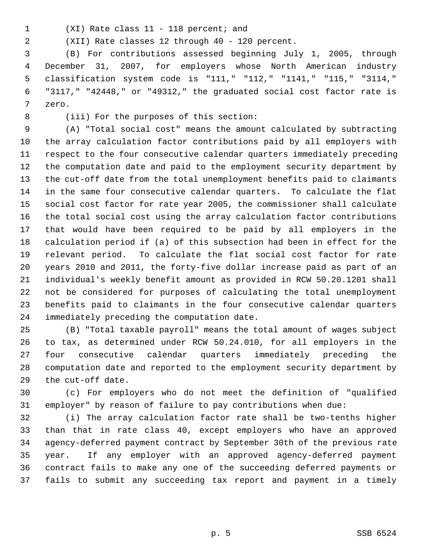- 
- 1 (XI) Rate class 11 118 percent; and

2 (XII) Rate classes 12 through 40 - 120 percent.

 3 (B) For contributions assessed beginning July 1, 2005, through 4 December 31, 2007, for employers whose North American industry 5 classification system code is "111," "112," "1141," "115," "3114," 6 "3117," "42448," or "49312," the graduated social cost factor rate is 7 zero.

8 (iii) For the purposes of this section:

 9 (A) "Total social cost" means the amount calculated by subtracting 10 the array calculation factor contributions paid by all employers with 11 respect to the four consecutive calendar quarters immediately preceding 12 the computation date and paid to the employment security department by 13 the cut-off date from the total unemployment benefits paid to claimants 14 in the same four consecutive calendar quarters. To calculate the flat 15 social cost factor for rate year 2005, the commissioner shall calculate 16 the total social cost using the array calculation factor contributions 17 that would have been required to be paid by all employers in the 18 calculation period if (a) of this subsection had been in effect for the 19 relevant period. To calculate the flat social cost factor for rate 20 years 2010 and 2011, the forty-five dollar increase paid as part of an 21 individual's weekly benefit amount as provided in RCW 50.20.1201 shall 22 not be considered for purposes of calculating the total unemployment 23 benefits paid to claimants in the four consecutive calendar quarters 24 immediately preceding the computation date.

25 (B) "Total taxable payroll" means the total amount of wages subject 26 to tax, as determined under RCW 50.24.010, for all employers in the 27 four consecutive calendar quarters immediately preceding the 28 computation date and reported to the employment security department by 29 the cut-off date.

30 (c) For employers who do not meet the definition of "qualified 31 employer" by reason of failure to pay contributions when due:

32 (i) The array calculation factor rate shall be two-tenths higher 33 than that in rate class 40, except employers who have an approved 34 agency-deferred payment contract by September 30th of the previous rate 35 year. If any employer with an approved agency-deferred payment 36 contract fails to make any one of the succeeding deferred payments or 37 fails to submit any succeeding tax report and payment in a timely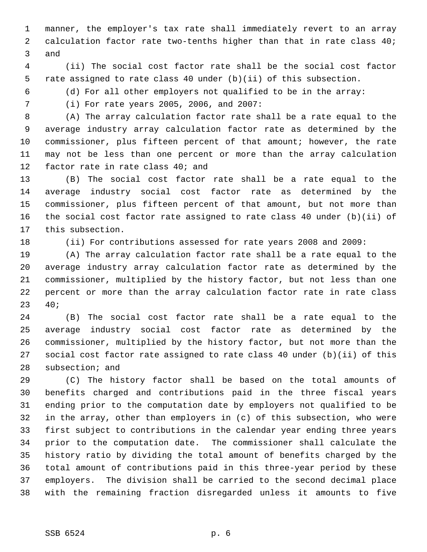1 manner, the employer's tax rate shall immediately revert to an array 2 calculation factor rate two-tenths higher than that in rate class 40; 3 and

 4 (ii) The social cost factor rate shall be the social cost factor 5 rate assigned to rate class 40 under (b)(ii) of this subsection.

6 (d) For all other employers not qualified to be in the array:

7 (i) For rate years 2005, 2006, and 2007:

 8 (A) The array calculation factor rate shall be a rate equal to the 9 average industry array calculation factor rate as determined by the 10 commissioner, plus fifteen percent of that amount; however, the rate 11 may not be less than one percent or more than the array calculation 12 factor rate in rate class 40; and

13 (B) The social cost factor rate shall be a rate equal to the 14 average industry social cost factor rate as determined by the 15 commissioner, plus fifteen percent of that amount, but not more than 16 the social cost factor rate assigned to rate class 40 under (b)(ii) of 17 this subsection.

18 (ii) For contributions assessed for rate years 2008 and 2009:

19 (A) The array calculation factor rate shall be a rate equal to the 20 average industry array calculation factor rate as determined by the 21 commissioner, multiplied by the history factor, but not less than one 22 percent or more than the array calculation factor rate in rate class 23 40;

24 (B) The social cost factor rate shall be a rate equal to the 25 average industry social cost factor rate as determined by the 26 commissioner, multiplied by the history factor, but not more than the 27 social cost factor rate assigned to rate class 40 under (b)(ii) of this 28 subsection; and

29 (C) The history factor shall be based on the total amounts of 30 benefits charged and contributions paid in the three fiscal years 31 ending prior to the computation date by employers not qualified to be 32 in the array, other than employers in (c) of this subsection, who were 33 first subject to contributions in the calendar year ending three years 34 prior to the computation date. The commissioner shall calculate the 35 history ratio by dividing the total amount of benefits charged by the 36 total amount of contributions paid in this three-year period by these 37 employers. The division shall be carried to the second decimal place 38 with the remaining fraction disregarded unless it amounts to five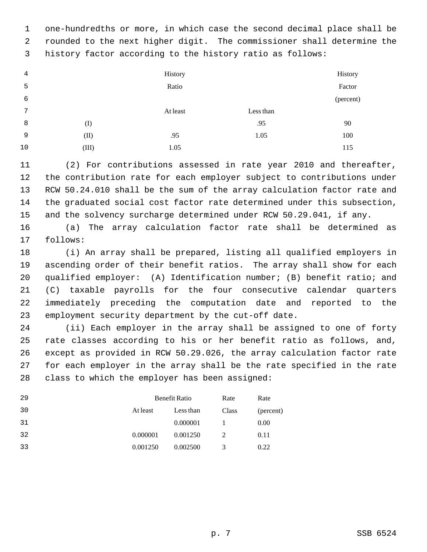1 one-hundredths or more, in which case the second decimal place shall be 2 rounded to the next higher digit. The commissioner shall determine the 3 history factor according to the history ratio as follows:

| 4  |       | History  |           | History   |
|----|-------|----------|-----------|-----------|
| 5  |       | Ratio    |           | Factor    |
| 6  |       |          |           | (percent) |
| 7  |       | At least | Less than |           |
| 8  | (I)   |          | .95       | 90        |
| 9  | (II)  | .95      | 1.05      | 100       |
| 10 | (III) | 1.05     |           | 115       |

11 (2) For contributions assessed in rate year 2010 and thereafter, 12 the contribution rate for each employer subject to contributions under 13 RCW 50.24.010 shall be the sum of the array calculation factor rate and 14 the graduated social cost factor rate determined under this subsection, 15 and the solvency surcharge determined under RCW 50.29.041, if any.

16 (a) The array calculation factor rate shall be determined as 17 follows:

18 (i) An array shall be prepared, listing all qualified employers in 19 ascending order of their benefit ratios. The array shall show for each 20 qualified employer: (A) Identification number; (B) benefit ratio; and 21 (C) taxable payrolls for the four consecutive calendar quarters 22 immediately preceding the computation date and reported to the 23 employment security department by the cut-off date.

24 (ii) Each employer in the array shall be assigned to one of forty 25 rate classes according to his or her benefit ratio as follows, and, 26 except as provided in RCW 50.29.026, the array calculation factor rate 27 for each employer in the array shall be the rate specified in the rate 28 class to which the employer has been assigned:

| 29 | Benefit Ratio |           | Rate  | Rate      |
|----|---------------|-----------|-------|-----------|
| 30 | At least      | Less than | Class | (percent) |
| 31 |               | 0.000001  |       | 0.00      |
| 32 | 0.000001      | 0.001250  | 2     | 0.11      |
| 33 | 0.001250      | 0.002500  | 3     | 0.22      |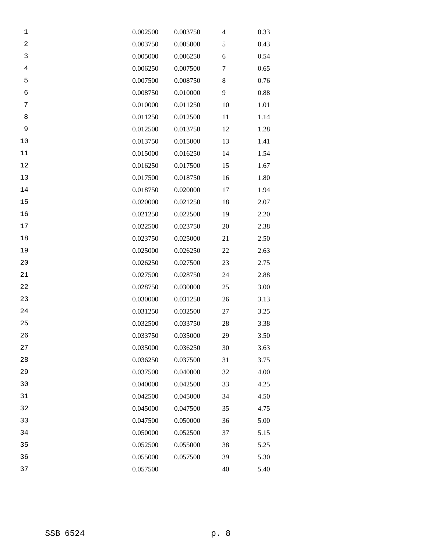| 1              | 0.002500 | 0.003750 | 4  | 0.33 |
|----------------|----------|----------|----|------|
| $\overline{c}$ | 0.003750 | 0.005000 | 5  | 0.43 |
| $\mathsf 3$    | 0.005000 | 0.006250 | 6  | 0.54 |
| $\,4$          | 0.006250 | 0.007500 | 7  | 0.65 |
| 5              | 0.007500 | 0.008750 | 8  | 0.76 |
| 6              | 0.008750 | 0.010000 | 9  | 0.88 |
| 7              | 0.010000 | 0.011250 | 10 | 1.01 |
| 8              | 0.011250 | 0.012500 | 11 | 1.14 |
| 9              | 0.012500 | 0.013750 | 12 | 1.28 |
| 10             | 0.013750 | 0.015000 | 13 | 1.41 |
| 11             | 0.015000 | 0.016250 | 14 | 1.54 |
| 12             | 0.016250 | 0.017500 | 15 | 1.67 |
| 13             | 0.017500 | 0.018750 | 16 | 1.80 |
| 14             | 0.018750 | 0.020000 | 17 | 1.94 |
| 15             | 0.020000 | 0.021250 | 18 | 2.07 |
| 16             | 0.021250 | 0.022500 | 19 | 2.20 |
| $17\,$         | 0.022500 | 0.023750 | 20 | 2.38 |
| $18\,$         | 0.023750 | 0.025000 | 21 | 2.50 |
| 19             | 0.025000 | 0.026250 | 22 | 2.63 |
| 20             | 0.026250 | 0.027500 | 23 | 2.75 |
| 21             | 0.027500 | 0.028750 | 24 | 2.88 |
| 22             | 0.028750 | 0.030000 | 25 | 3.00 |
| 23             | 0.030000 | 0.031250 | 26 | 3.13 |
| 24             | 0.031250 | 0.032500 | 27 | 3.25 |
| 25             | 0.032500 | 0.033750 | 28 | 3.38 |
| 26             | 0.033750 | 0.035000 | 29 | 3.50 |
| 27             | 0.035000 | 0.036250 | 30 | 3.63 |
| 28             | 0.036250 | 0.037500 | 31 | 3.75 |
| 29             | 0.037500 | 0.040000 | 32 | 4.00 |
| 30             | 0.040000 | 0.042500 | 33 | 4.25 |
| 31             | 0.042500 | 0.045000 | 34 | 4.50 |
| 32             | 0.045000 | 0.047500 | 35 | 4.75 |
| 33             | 0.047500 | 0.050000 | 36 | 5.00 |
| 34             | 0.050000 | 0.052500 | 37 | 5.15 |
| 35             | 0.052500 | 0.055000 | 38 | 5.25 |
| 36             | 0.055000 | 0.057500 | 39 | 5.30 |
| 37             | 0.057500 |          | 40 | 5.40 |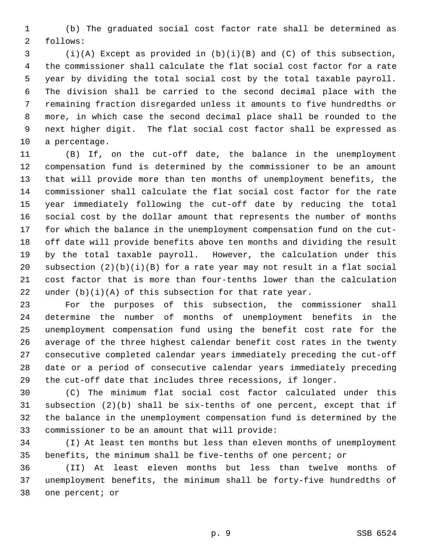1 (b) The graduated social cost factor rate shall be determined as 2 follows:

 3 (i)(A) Except as provided in (b)(i)(B) and (C) of this subsection, 4 the commissioner shall calculate the flat social cost factor for a rate 5 year by dividing the total social cost by the total taxable payroll. 6 The division shall be carried to the second decimal place with the 7 remaining fraction disregarded unless it amounts to five hundredths or 8 more, in which case the second decimal place shall be rounded to the 9 next higher digit. The flat social cost factor shall be expressed as 10 a percentage.

11 (B) If, on the cut-off date, the balance in the unemployment 12 compensation fund is determined by the commissioner to be an amount 13 that will provide more than ten months of unemployment benefits, the 14 commissioner shall calculate the flat social cost factor for the rate 15 year immediately following the cut-off date by reducing the total 16 social cost by the dollar amount that represents the number of months 17 for which the balance in the unemployment compensation fund on the cut-18 off date will provide benefits above ten months and dividing the result 19 by the total taxable payroll. However, the calculation under this 20 subsection  $(2)(b)(i)(B)$  for a rate year may not result in a flat social 21 cost factor that is more than four-tenths lower than the calculation 22 under  $(b)(i)(A)$  of this subsection for that rate year.

23 For the purposes of this subsection, the commissioner shall 24 determine the number of months of unemployment benefits in the 25 unemployment compensation fund using the benefit cost rate for the 26 average of the three highest calendar benefit cost rates in the twenty 27 consecutive completed calendar years immediately preceding the cut-off 28 date or a period of consecutive calendar years immediately preceding 29 the cut-off date that includes three recessions, if longer.

30 (C) The minimum flat social cost factor calculated under this 31 subsection (2)(b) shall be six-tenths of one percent, except that if 32 the balance in the unemployment compensation fund is determined by the 33 commissioner to be an amount that will provide:

34 (I) At least ten months but less than eleven months of unemployment 35 benefits, the minimum shall be five-tenths of one percent; or

36 (II) At least eleven months but less than twelve months of 37 unemployment benefits, the minimum shall be forty-five hundredths of 38 one percent; or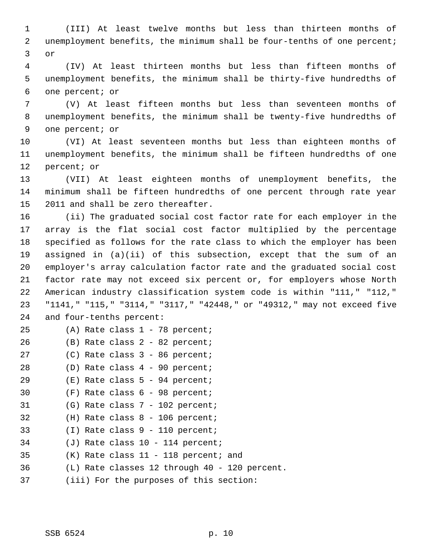1 (III) At least twelve months but less than thirteen months of 2 unemployment benefits, the minimum shall be four-tenths of one percent; 3 or

 4 (IV) At least thirteen months but less than fifteen months of 5 unemployment benefits, the minimum shall be thirty-five hundredths of 6 one percent; or

 7 (V) At least fifteen months but less than seventeen months of 8 unemployment benefits, the minimum shall be twenty-five hundredths of 9 one percent; or

10 (VI) At least seventeen months but less than eighteen months of 11 unemployment benefits, the minimum shall be fifteen hundredths of one 12 percent; or

13 (VII) At least eighteen months of unemployment benefits, the 14 minimum shall be fifteen hundredths of one percent through rate year 15 2011 and shall be zero thereafter.

16 (ii) The graduated social cost factor rate for each employer in the 17 array is the flat social cost factor multiplied by the percentage 18 specified as follows for the rate class to which the employer has been 19 assigned in (a)(ii) of this subsection, except that the sum of an 20 employer's array calculation factor rate and the graduated social cost 21 factor rate may not exceed six percent or, for employers whose North 22 American industry classification system code is within "111," "112," 23 "1141," "115," "3114," "3117," "42448," or "49312," may not exceed five 24 and four-tenths percent:

- 25 (A) Rate class 1 78 percent;
- 26 (B) Rate class 2 82 percent;
- 27 (C) Rate class 3 86 percent;
- 28 (D) Rate class 4 90 percent;
- 29 (E) Rate class 5 94 percent;
- 30 (F) Rate class 6 98 percent;
- 31 (G) Rate class 7 102 percent;
- 32 (H) Rate class 8 106 percent;
- 33 (I) Rate class 9 110 percent;
- 34 (J) Rate class 10 114 percent;
- 35 (K) Rate class 11 118 percent; and
- 36 (L) Rate classes 12 through 40 120 percent.
- 37 (iii) For the purposes of this section: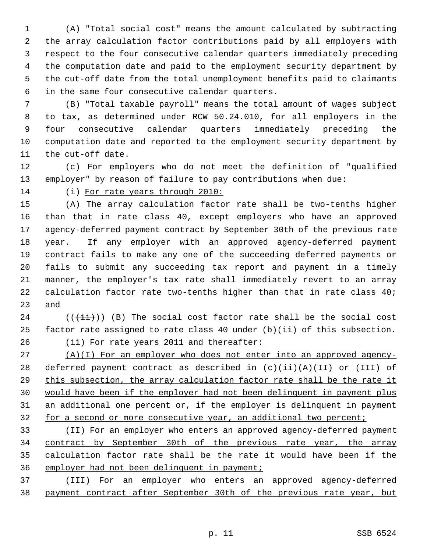1 (A) "Total social cost" means the amount calculated by subtracting 2 the array calculation factor contributions paid by all employers with 3 respect to the four consecutive calendar quarters immediately preceding 4 the computation date and paid to the employment security department by 5 the cut-off date from the total unemployment benefits paid to claimants 6 in the same four consecutive calendar quarters.

 7 (B) "Total taxable payroll" means the total amount of wages subject 8 to tax, as determined under RCW 50.24.010, for all employers in the 9 four consecutive calendar quarters immediately preceding the 10 computation date and reported to the employment security department by 11 the cut-off date.

12 (c) For employers who do not meet the definition of "qualified 13 employer" by reason of failure to pay contributions when due:

14 (i) For rate years through 2010:

15 (A) The array calculation factor rate shall be two-tenths higher 16 than that in rate class 40, except employers who have an approved 17 agency-deferred payment contract by September 30th of the previous rate 18 year. If any employer with an approved agency-deferred payment 19 contract fails to make any one of the succeeding deferred payments or 20 fails to submit any succeeding tax report and payment in a timely 21 manner, the employer's tax rate shall immediately revert to an array 22 calculation factor rate two-tenths higher than that in rate class 40; 23 and

 $24$  (( $(\overrightarrow{\pm i})$ ) (B) The social cost factor rate shall be the social cost 25 factor rate assigned to rate class 40 under (b)(ii) of this subsection. 26 (ii) For rate years 2011 and thereafter:

 (A)(I) For an employer who does not enter into an approved agency-28 deferred payment contract as described in  $(c)(ii)(A)(II)$  or (III) of this subsection, the array calculation factor rate shall be the rate it would have been if the employer had not been delinquent in payment plus an additional one percent or, if the employer is delinquent in payment 32 for a second or more consecutive year, an additional two percent;

 (II) For an employer who enters an approved agency-deferred payment contract by September 30th of the previous rate year, the array calculation factor rate shall be the rate it would have been if the employer had not been delinquent in payment;

37 (III) For an employer who enters an approved agency-deferred 38 payment contract after September 30th of the previous rate year, but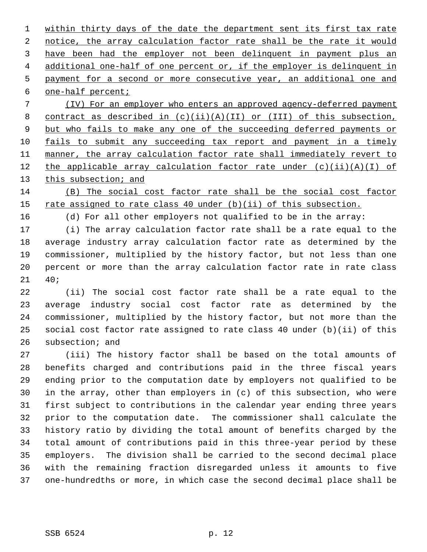within thirty days of the date the department sent its first tax rate notice, the array calculation factor rate shall be the rate it would have been had the employer not been delinquent in payment plus an additional one-half of one percent or, if the employer is delinquent in payment for a second or more consecutive year, an additional one and one-half percent;

 7 (IV) For an employer who enters an approved agency-deferred payment 8 contract as described in  $(c)(ii)(A)(II)$  or  $(III)$  of this subsection, 9 but who fails to make any one of the succeeding deferred payments or 10 fails to submit any succeeding tax report and payment in a timely 11 manner, the array calculation factor rate shall immediately revert to 12 the applicable array calculation factor rate under  $(c)(ii)(A)(I)$  of 13 this subsection; and

14 (B) The social cost factor rate shall be the social cost factor 15 rate assigned to rate class 40 under (b)(ii) of this subsection.

16 (d) For all other employers not qualified to be in the array:

17 (i) The array calculation factor rate shall be a rate equal to the 18 average industry array calculation factor rate as determined by the 19 commissioner, multiplied by the history factor, but not less than one 20 percent or more than the array calculation factor rate in rate class 21 40;

22 (ii) The social cost factor rate shall be a rate equal to the 23 average industry social cost factor rate as determined by the 24 commissioner, multiplied by the history factor, but not more than the 25 social cost factor rate assigned to rate class 40 under (b)(ii) of this 26 subsection; and

27 (iii) The history factor shall be based on the total amounts of 28 benefits charged and contributions paid in the three fiscal years 29 ending prior to the computation date by employers not qualified to be 30 in the array, other than employers in (c) of this subsection, who were 31 first subject to contributions in the calendar year ending three years 32 prior to the computation date. The commissioner shall calculate the 33 history ratio by dividing the total amount of benefits charged by the 34 total amount of contributions paid in this three-year period by these 35 employers. The division shall be carried to the second decimal place 36 with the remaining fraction disregarded unless it amounts to five 37 one-hundredths or more, in which case the second decimal place shall be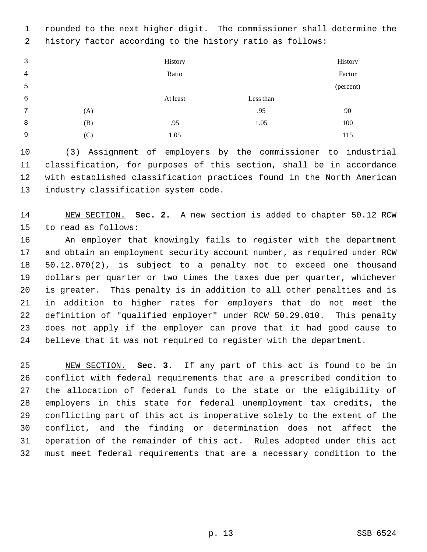1 rounded to the next higher digit. The commissioner shall determine the 2 history factor according to the history ratio as follows:

 3 4 5 History Ratio History Factor (percent) 6 At least Less than 7 (A)  $.95$  90 8 (B) .95 1.05 100 9 (C) 1.05 115

10 (3) Assignment of employers by the commissioner to industrial 11 classification, for purposes of this section, shall be in accordance 12 with established classification practices found in the North American 13 industry classification system code.

14 NEW SECTION. **Sec. 2.** A new section is added to chapter 50.12 RCW 15 to read as follows:

16 An employer that knowingly fails to register with the department 17 and obtain an employment security account number, as required under RCW 18 50.12.070(2), is subject to a penalty not to exceed one thousand 19 dollars per quarter or two times the taxes due per quarter, whichever 20 is greater. This penalty is in addition to all other penalties and is 21 in addition to higher rates for employers that do not meet the 22 definition of "qualified employer" under RCW 50.29.010. This penalty 23 does not apply if the employer can prove that it had good cause to 24 believe that it was not required to register with the department.

25 NEW SECTION. **Sec. 3.** If any part of this act is found to be in 26 conflict with federal requirements that are a prescribed condition to 27 the allocation of federal funds to the state or the eligibility of 28 employers in this state for federal unemployment tax credits, the 29 conflicting part of this act is inoperative solely to the extent of the 30 conflict, and the finding or determination does not affect the 31 operation of the remainder of this act. Rules adopted under this act 32 must meet federal requirements that are a necessary condition to the